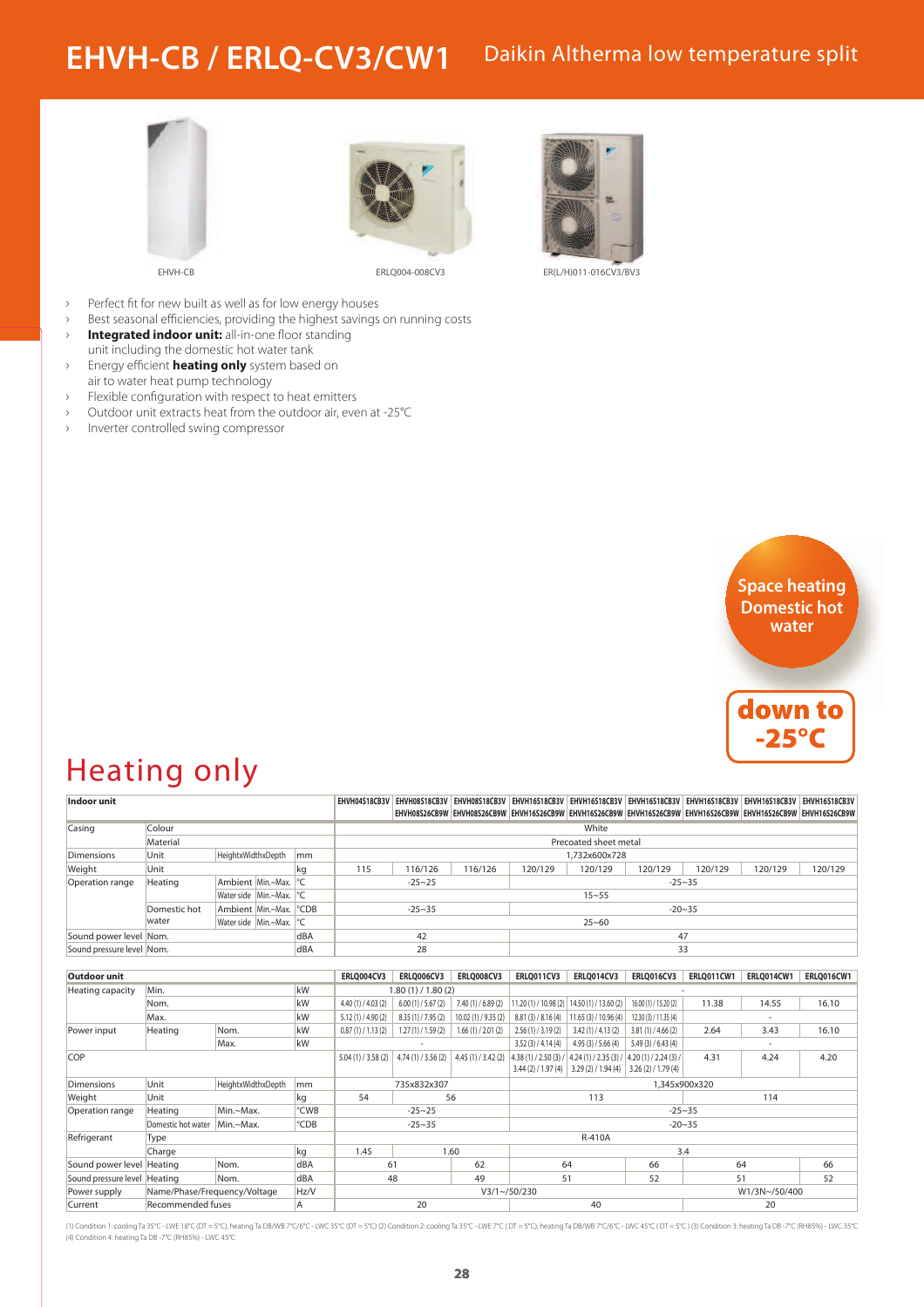#### Daikin Altherma low temperature split **EHVH-CB / ERLQ-CV3/CW1**







EHVH-CB ERLQ004-008CV3 ER(L/H)011-016CV3/BV3

- › Perfect fit for new built as well as for low energy houses
- › Best seasonal efficiencies, providing the highest savings on running costs › **Integrated indoor unit:** all-in-one floor standing
- unit including the domestic hot water tank › Energy efficient **heating only** system based on
- air to water heat pump technology
- › Flexible configuration with respect to heat emitters
- › Outdoor unit extracts heat from the outdoor air, even at -25°C
- Inverter controlled swing compressor





## Heating only

| <b>Indoor unit</b>           |                              |                             |    |                        |                          | EHVH04S18CB3V EHVH08S18CB3V EHVH08S18CB3V EHVH16S18CB3V EHVH16S18CB3V EHVH16S18CB3V EHVH16S18CB3V EHVH16S18CB3V EHVH16S18CB3V EHVH16S18CB3V<br>EHVH08S26CB9W  EHVH08S26CB9W  EHVH16S26CB9W  EHVH16S26CB9W  EHVH16S26CB9W  EHVH16S26CB9W  EHVH16S26CB9W  EHVH16S26CB9W |                   |                    |                                              |                       |                   |                   |                   |  |
|------------------------------|------------------------------|-----------------------------|----|------------------------|--------------------------|-----------------------------------------------------------------------------------------------------------------------------------------------------------------------------------------------------------------------------------------------------------------------|-------------------|--------------------|----------------------------------------------|-----------------------|-------------------|-------------------|-------------------|--|
| Colour<br>Casing             |                              |                             |    |                        | White                    |                                                                                                                                                                                                                                                                       |                   |                    |                                              |                       |                   |                   |                   |  |
|                              | Material                     |                             |    | Precoated sheet metal  |                          |                                                                                                                                                                                                                                                                       |                   |                    |                                              |                       |                   |                   |                   |  |
| <b>Dimensions</b>            | Unit                         | HeightxWidthxDepth          |    | lmm                    |                          | 1,732x600x728                                                                                                                                                                                                                                                         |                   |                    |                                              |                       |                   |                   |                   |  |
| Weight                       | Unit                         |                             |    | kg                     | 115                      | 116/126                                                                                                                                                                                                                                                               | 116/126           | 120/129            | 120/129                                      | 120/129               | 120/129           | 120/129           | 120/129           |  |
| Operation range              | Heating<br>Ambient Min.~Max. |                             |    | ${}^{\circ}C$          |                          | $-25 - 25$<br>$-25 - 35$                                                                                                                                                                                                                                              |                   |                    |                                              |                       |                   |                   |                   |  |
|                              |                              | Water side Min.~Max.        |    | $\mathsf{P}\mathsf{C}$ |                          | $15 - 55$                                                                                                                                                                                                                                                             |                   |                    |                                              |                       |                   |                   |                   |  |
|                              | Domestic hot                 | Ambient Min.~Max.           |    | $^{\circ}$ CDB         |                          | $-25 - 35$                                                                                                                                                                                                                                                            |                   |                    |                                              |                       | $-20 - 35$        |                   |                   |  |
|                              | water                        | Water side   Min.~Max.   °C |    |                        |                          | $25 - 60$                                                                                                                                                                                                                                                             |                   |                    |                                              |                       |                   |                   |                   |  |
| Sound power level Nom.       |                              |                             |    | dBA                    |                          | 42                                                                                                                                                                                                                                                                    |                   |                    |                                              |                       | 47                |                   |                   |  |
| Sound pressure level Nom.    |                              |                             |    | dBA                    |                          | 28                                                                                                                                                                                                                                                                    |                   |                    |                                              |                       | 33                |                   |                   |  |
|                              |                              |                             |    |                        |                          |                                                                                                                                                                                                                                                                       |                   |                    |                                              |                       |                   |                   |                   |  |
| <b>Outdoor unit</b>          |                              |                             |    |                        | <b>ERLO004CV3</b>        | <b>ERLO006CV3</b>                                                                                                                                                                                                                                                     | <b>ERLO008CV3</b> | <b>ERLO011CV3</b>  | ERLQ014CV3                                   | <b>ERLQ016CV3</b>     | <b>ERLQ011CW1</b> | <b>ERLO014CW1</b> | <b>ERLO016CW1</b> |  |
| Heating capacity             | Min.                         |                             |    | kW                     | 1.80(1) / 1.80(2)        |                                                                                                                                                                                                                                                                       |                   |                    |                                              |                       |                   |                   |                   |  |
|                              | Nom.                         |                             |    | kW                     | 4.40(1)/4.03(2)          | 6.00(1)/5.67(2)                                                                                                                                                                                                                                                       | 7.40(1)/6.89(2)   |                    | $11.20(1)$ / 10.98 (2) 14.50 (1) / 13.60 (2) | 16.00 (1) / 15.20 (2) | 11.38             | 14.55             | 16.10             |  |
|                              | Max.                         |                             |    | kW                     | 5.12(1)/4.90(2)          | 8.35 (1) / 7.95 (2)                                                                                                                                                                                                                                                   | 10.02(1)/9.35(2)  | 8.81(3)/8.16(4)    | 11.65(3)/10.96(4)                            | 12.30 (3) / 11.35 (4) |                   |                   |                   |  |
| Power input                  | Heating                      | Nom.                        |    | kW                     | 0.87(1)/1.13(2)          | 1.27(1)/1.59(2)                                                                                                                                                                                                                                                       | 1.66(1)/2.01(2)   | 2.56(1)/3.19(2)    | 3.42(1)/4.13(2)                              | 3.81(1)/4.66(2)       | 2.64              | 3.43              | 16.10             |  |
|                              | Max.                         |                             | kW |                        |                          |                                                                                                                                                                                                                                                                       | 3.52(3)/4.14(4)   | 4.95(3)/5.66(4)    | 5.49(3)/6.43(4)                              |                       |                   |                   |                   |  |
| COP                          |                              |                             |    |                        | 5.04(1)/3.58(2)          | 4.74(1)/3.56(2)                                                                                                                                                                                                                                                       | 4.45(1)/3.42(2)   | 4.38(1)/2.50(3)/   | 4.24(1)/2.35(3)/                             | 4.20(1)/2.24(3)       | 4.31              | 4.24              | 4.20              |  |
|                              |                              |                             |    |                        |                          |                                                                                                                                                                                                                                                                       |                   |                    | $3.44$ (2) / 1.97 (4) 3.29 (2) / 1.94 (4)    | 3.26(2)/1.79(4)       |                   |                   |                   |  |
| <b>Dimensions</b>            | Unit                         | HeightxWidthxDepth          |    | mm                     |                          | 735x832x307                                                                                                                                                                                                                                                           |                   | 1,345x900x320      |                                              |                       |                   |                   |                   |  |
| Weight                       | Unit                         |                             |    | kg                     | 54                       |                                                                                                                                                                                                                                                                       | 56                |                    | 113                                          |                       | 114               |                   |                   |  |
| Operation range              | Heating                      | Min.~Max.                   |    | °CWB                   |                          | $-25 - 25$                                                                                                                                                                                                                                                            |                   | $-25 - 35$         |                                              |                       |                   |                   |                   |  |
|                              | Domestic hot water           | Min.~Max.                   |    | °CDB                   | $-25 - 35$<br>$-20 - 35$ |                                                                                                                                                                                                                                                                       |                   |                    |                                              |                       |                   |                   |                   |  |
| Refrigerant                  | Type                         |                             |    |                        |                          |                                                                                                                                                                                                                                                                       |                   | R-410A             |                                              |                       |                   |                   |                   |  |
|                              | Charge                       |                             |    | kg                     | 1.45                     |                                                                                                                                                                                                                                                                       | 1.60              |                    |                                              | 3.4                   |                   |                   |                   |  |
| Sound power level Heating    |                              | Nom.                        |    | dBA                    | 61                       |                                                                                                                                                                                                                                                                       | 62                | 64                 |                                              | 66                    |                   | 64                | 66                |  |
| Sound pressure level Heating |                              | Nom.                        |    | dBA                    |                          | 48                                                                                                                                                                                                                                                                    | 49                | 51<br>52           |                                              | 51                    |                   | 52                |                   |  |
| Power supply                 | Name/Phase/Frequency/Voltage |                             |    | Hz/V                   |                          |                                                                                                                                                                                                                                                                       |                   | $V3/1 \sim 50/230$ |                                              |                       | W1/3N~/50/400     |                   |                   |  |
| Current                      | <b>Recommended fuses</b>     |                             |    | A                      | 20                       |                                                                                                                                                                                                                                                                       |                   | 40                 |                                              |                       | 20                |                   |                   |  |

(1) Condition 1: cooling Ta 35°C - LWE 18°C (DT = 5°C); heating Ta DB/WB 7°C/6°C - LWC 35°C (DT = 5°C) (2) Condition 2: cooling Ta 35°C - LWE 7°C (DT = 5°C); heating Ta DB/WB 7°C/6°C - LWC 45°C (DT = 5°C); heating Ta DB/WB (4) Condition 4: heating Ta DB -7°C (RH85%) - LWC 45°C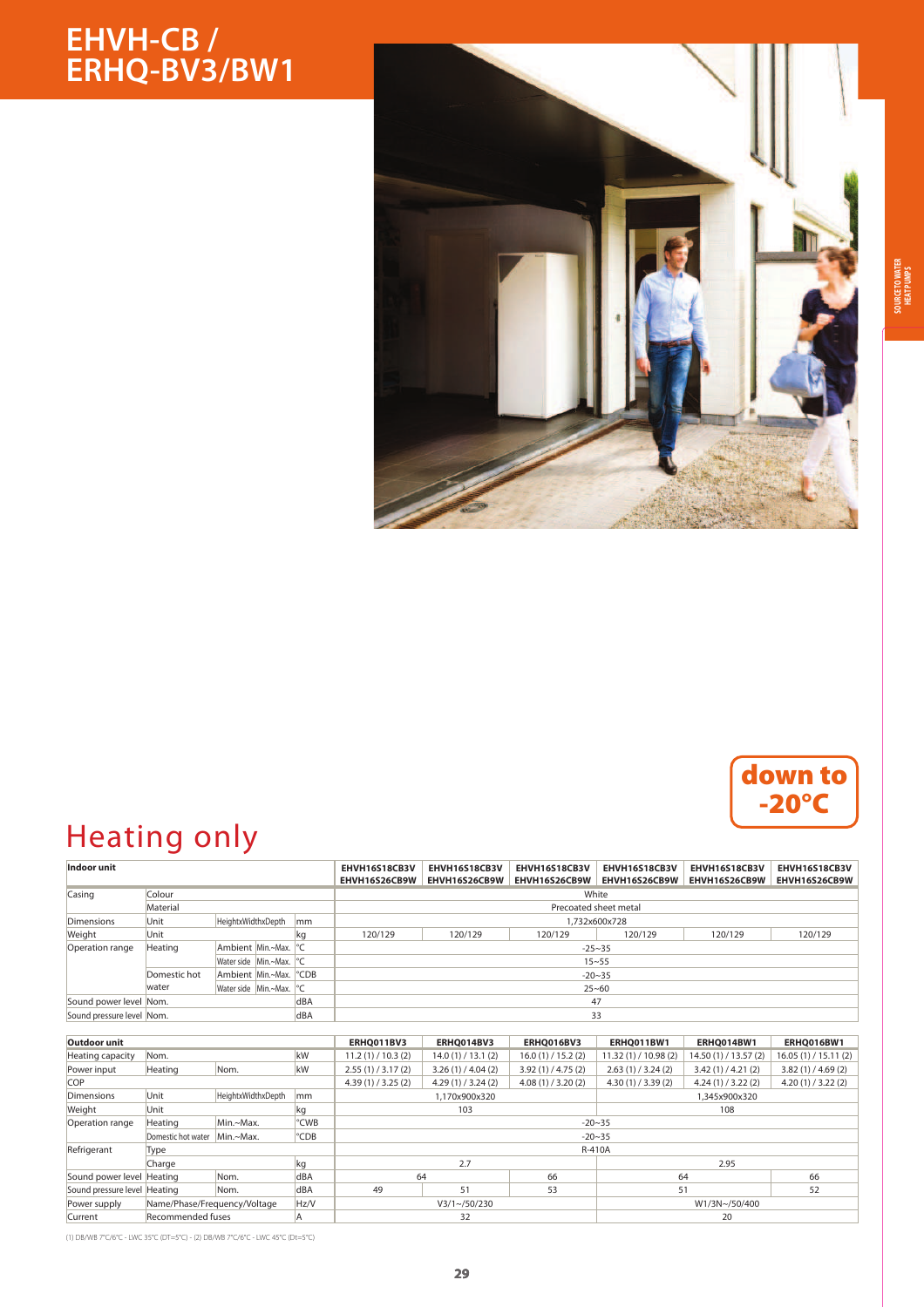## **EHVH-CB / ERHQ-BV3/BW1**



#### down to -20°C

# Heating only

| Indoor unit               |              |                                     |                             |     | EHVH16S18CB3V<br>EHVH16S26CB9W | EHVH16S18CB3V<br>EHVH16S26CB9W | EHVH16S18CB3V<br>EHVH16S26CB9W | EHVH16S18CB3V<br>EHVH16S26CB9W | EHVH16S18CB3V<br>EHVH16S26CB9W | EHVH16S18CB3V<br>EHVH16S26CB9W |  |  |  |
|---------------------------|--------------|-------------------------------------|-----------------------------|-----|--------------------------------|--------------------------------|--------------------------------|--------------------------------|--------------------------------|--------------------------------|--|--|--|
| Casing                    | Colour       |                                     |                             |     | White                          |                                |                                |                                |                                |                                |  |  |  |
|                           | Material     |                                     |                             |     | Precoated sheet metal          |                                |                                |                                |                                |                                |  |  |  |
| Dimensions                | Unit         | HeightxWidthxDepth                  |                             | mm  | 1,732x600x728                  |                                |                                |                                |                                |                                |  |  |  |
| Weight                    | Unit<br>kg   |                                     |                             |     | 120/129                        | 120/129                        | 120/129                        | 120/129                        | 120/129                        | 120/129                        |  |  |  |
| Operation range           | Heating      | Ambient Min.~Max. <sup>o</sup> C    |                             |     | $-25 - 35$                     |                                |                                |                                |                                |                                |  |  |  |
|                           |              |                                     | Water side   Min.~Max.   °C |     | $15 - 55$                      |                                |                                |                                |                                |                                |  |  |  |
|                           | Domestic hot | Ambient Min.~Max. PCDB              |                             |     | $-20 - 35$                     |                                |                                |                                |                                |                                |  |  |  |
|                           | water        | Water side Min.~Max. <sup>o</sup> C |                             |     | $25 - 60$                      |                                |                                |                                |                                |                                |  |  |  |
| Sound power level Nom.    | dBA          |                                     |                             |     |                                |                                | 47                             |                                |                                |                                |  |  |  |
| Sound pressure level Nom. |              |                                     |                             | dBA | 33                             |                                |                                |                                |                                |                                |  |  |  |

| Outdoor unit                 |                                  |           |            | ERHQ011BV3      | ERHQ014BV3         | ERHQ016BV3      | ERHQ011BW1        | ERHQ014BW1            | ERHQ016BW1        |  |  |  |
|------------------------------|----------------------------------|-----------|------------|-----------------|--------------------|-----------------|-------------------|-----------------------|-------------------|--|--|--|
| Heating capacity             | kW<br>Nom.                       |           |            | 11.2(1)/10.3(2) | 14.0(1)/13.1(2)    | 16.0(1)/15.2(2) | 11.32(1)/10.98(2) | 14.50 (1) / 13.57 (2) | 16.05(1)/15.11(2) |  |  |  |
| Power input                  | Heating                          | Nom.      | kW         | 2.55(1)/3.17(2) | 3.26(1)/4.04(2)    | 3.92(1)/4.75(2) | 2.63(1)/3.24(2)   | 3.42(1)/4.21(2)       | 3.82(1)/4.69(2)   |  |  |  |
| <b>COP</b>                   |                                  |           |            | 4.39(1)/3.25(2) | 4.29(1)/3.24(2)    | 4.08(1)/3.20(2) | 4.30(1)/3.39(2)   | 4.24(1)/3.22(2)       | 4.20(1)/3.22(2)   |  |  |  |
| Dimensions                   | HeightxWidthxDepth<br>Unit<br>mm |           |            |                 | 1.170x900x320      |                 | 1.345x900x320     |                       |                   |  |  |  |
| Weight                       | Unit<br>kg                       |           |            |                 | 103                |                 | 108               |                       |                   |  |  |  |
| Operation range              | Heating                          | Min.~Max. | °CWB       | $-20 - 35$      |                    |                 |                   |                       |                   |  |  |  |
|                              | Domestic hot water Min.~Max.     |           | °CDB       |                 |                    |                 | $-20 - 35$        |                       |                   |  |  |  |
| Refrigerant                  | Type                             |           |            | R-410A          |                    |                 |                   |                       |                   |  |  |  |
|                              | Charge                           |           | kg         | 2.7             |                    |                 | 2.95              |                       |                   |  |  |  |
| Sound power level Heating    |                                  | Nom.      | dBA        | 64<br>66        |                    | 64              |                   | 66                    |                   |  |  |  |
| Sound pressure level Heating |                                  | Nom.      | <b>dBA</b> | 49              | 51                 | 53              | 51                |                       | 52                |  |  |  |
| Power supply                 | Name/Phase/Frequency/Voltage     |           | Hz/V       |                 | $V3/1 \sim 50/230$ |                 | W1/3N~/50/400     |                       |                   |  |  |  |
| Current                      | Recommended fuses                |           |            |                 | 32                 |                 | 20                |                       |                   |  |  |  |

(1) DB/WB 7°C/6°C - LWC 35°C (DT=5°C) - (2) DB/WB 7°C/6°C - LWC 45°C (Dt=5°C)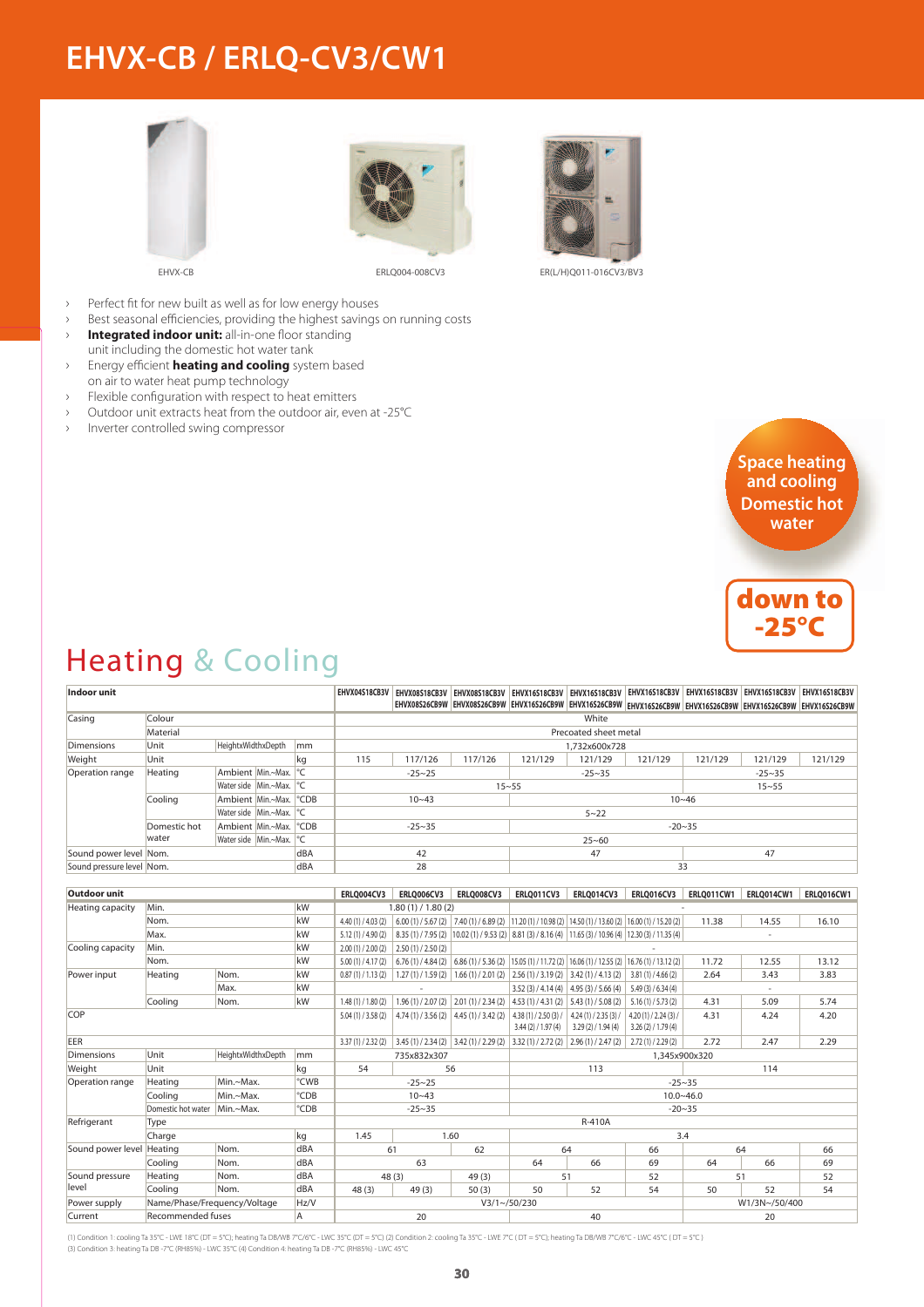# **EHVX-CB / ERLQ-CV3/CW1**







EHVX-CB ERLQ004-008CV3 ER(L/H)Q011-016CV3/BV3

- › Perfect fit for new built as well as for low energy houses
- › Best seasonal efficiencies, providing the highest savings on running costs
- › **Integrated indoor unit:** all-in-one floor standing unit including the domestic hot water tank
- › Energy efficient **heating and cooling** system based on air to water heat pump technology
- › Flexible configuration with respect to heat emitters
- › Outdoor unit extracts heat from the outdoor air, even at -25°C
- Inverter controlled swing compressor



-25°C

# Heating & Cooling

| <b>Indoor unit</b>        |                              |                        |    |                 |                       | EHVX04S18CB3V EHVX08S18CB3V EHVX08S18CB3V EHVX16S18CB3V EHVX16S18CB3V EHVX16S18CB3V EHVX16S18CB3V EHVX16S18CB3V EHVX16S18CB3V |                                     |                                                                                                          |                                                                                                          |                 |               | EHVX08S26CB9W EHVX08S26CB9W EHVX16S26CB9W EHVX16S26CB9W EHVX16S26CB9W EHVX16S26CB9W EHVX16S26CB9W EHVX16S26CB9W |                   |  |  |
|---------------------------|------------------------------|------------------------|----|-----------------|-----------------------|-------------------------------------------------------------------------------------------------------------------------------|-------------------------------------|----------------------------------------------------------------------------------------------------------|----------------------------------------------------------------------------------------------------------|-----------------|---------------|-----------------------------------------------------------------------------------------------------------------|-------------------|--|--|
| Casing                    | Colour                       |                        |    |                 | White                 |                                                                                                                               |                                     |                                                                                                          |                                                                                                          |                 |               |                                                                                                                 |                   |  |  |
|                           | Material                     |                        |    |                 | Precoated sheet metal |                                                                                                                               |                                     |                                                                                                          |                                                                                                          |                 |               |                                                                                                                 |                   |  |  |
| <b>Dimensions</b>         | Unit                         | HeightxWidthxDepth     |    | mm              |                       | 1.732x600x728                                                                                                                 |                                     |                                                                                                          |                                                                                                          |                 |               |                                                                                                                 |                   |  |  |
| Weight                    | Unit                         |                        |    | kg              | 115                   | 117/126                                                                                                                       | 117/126                             | 121/129                                                                                                  | 121/129                                                                                                  | 121/129         | 121/129       | 121/129                                                                                                         | 121/129           |  |  |
| Operation range           | Heating                      | Ambient Min.~Max.      |    | $\circ$ C       | $-25 - 25$            |                                                                                                                               |                                     |                                                                                                          | $-25 - 35$                                                                                               |                 |               | $-25 - 35$                                                                                                      |                   |  |  |
|                           |                              | Water side Min.~Max.   |    | ∣℃              |                       |                                                                                                                               |                                     | $15 - 55$                                                                                                |                                                                                                          |                 |               | $15 - 55$                                                                                                       |                   |  |  |
|                           | Cooling                      | Ambient Min.~Max.      |    | °CDB            |                       | $10 - 43$                                                                                                                     |                                     |                                                                                                          |                                                                                                          |                 | $10 - 46$     |                                                                                                                 |                   |  |  |
|                           |                              | Water side   Min.~Max. |    | ∣℃              |                       |                                                                                                                               |                                     |                                                                                                          | $5 - 22$                                                                                                 |                 |               |                                                                                                                 |                   |  |  |
|                           | Domestic hot                 | Ambient Min.~Max.      |    | °CDB            |                       | $-25 - 35$                                                                                                                    |                                     |                                                                                                          |                                                                                                          |                 | $-20 - 35$    |                                                                                                                 |                   |  |  |
|                           | water                        | Water side   Min.~Max. |    | $\circ$ C       |                       |                                                                                                                               |                                     |                                                                                                          | $25 - 60$                                                                                                |                 |               |                                                                                                                 |                   |  |  |
| Sound power level Nom.    |                              |                        |    | dBA             |                       | 42                                                                                                                            |                                     |                                                                                                          | 47                                                                                                       |                 |               | 47                                                                                                              |                   |  |  |
| Sound pressure level Nom. |                              |                        |    | dBA             |                       | 28                                                                                                                            |                                     |                                                                                                          |                                                                                                          |                 | 33            |                                                                                                                 |                   |  |  |
|                           |                              |                        |    |                 |                       |                                                                                                                               |                                     |                                                                                                          |                                                                                                          |                 |               |                                                                                                                 |                   |  |  |
| <b>Outdoor unit</b>       |                              |                        |    |                 | ERLQ004CV3            | <b>ERLQ006CV3</b>                                                                                                             | <b>ERLQ008CV3</b>                   | ERLQ011CV3                                                                                               | ERLQ014CV3                                                                                               | ERLQ016CV3      |               | ERLQ011CW1   ERLQ014CW1                                                                                         | <b>ERLQ016CW1</b> |  |  |
| <b>Heating capacity</b>   | Min.                         |                        |    | kW              |                       | 1.80(1) / 1.80(2)                                                                                                             |                                     |                                                                                                          |                                                                                                          |                 |               |                                                                                                                 |                   |  |  |
|                           | Nom.                         |                        | kW | 4.40(1)/4.03(2) |                       |                                                                                                                               |                                     | $(6.00(1)/5.67(2)$ 7.40 (1) / 6.89 (2) 11.20 (1) / 10.98 (2) 14.50 (1) / 13.60 (2) 16.00 (1) / 15.20 (2) |                                                                                                          | 11.38           | 14.55         | 16.10                                                                                                           |                   |  |  |
|                           | Max.                         |                        |    | kW              | 5.12(1)/4.90(2)       |                                                                                                                               |                                     |                                                                                                          | 8.35 (1) / 7.95 (2) 10.02 (1) / 9.53 (2) 8.81 (3) / 8.16 (4) 11.65 (3) / 10.96 (4) 12.30 (3) / 11.35 (4) |                 |               |                                                                                                                 |                   |  |  |
| Cooling capacity          | Min.                         |                        | kW | 2.00(1)/2.00(2) | 2.50(1)/2.50(2)       |                                                                                                                               |                                     |                                                                                                          |                                                                                                          |                 |               |                                                                                                                 |                   |  |  |
|                           | Nom.                         |                        | kW | 5.00(1)/4.17(2) |                       |                                                                                                                               |                                     | $6.76(1)/4.84(2)$ 6.86(1)/5.36(2) 15.05(1)/11.72(2) 16.06(1)/12.55(2) 16.76(1)/13.12(2)                  |                                                                                                          | 11.72           | 12.55         | 13.12                                                                                                           |                   |  |  |
| Power input               | Heating                      | Nom.                   |    | kW              | 0.87(1)/1.13(2)       |                                                                                                                               |                                     |                                                                                                          | $1.27(1)/1.59(2)$   $1.66(1)/2.01(2)$   $2.56(1)/3.19(2)$   $3.42(1)/4.13(2)$                            | 3.81(1)/4.66(2) | 2.64          | 3.43                                                                                                            | 3.83              |  |  |
|                           |                              | Max.                   |    | kW              |                       |                                                                                                                               |                                     |                                                                                                          | $3.52(3)/4.14(4)$ 4.95 (3) / 5.66 (4)                                                                    | 5.49(3)/6.34(4) |               | $\bar{\phantom{a}}$                                                                                             |                   |  |  |
|                           | Cooling                      | Nom.                   |    | kW              | 1.48(1) / 1.80(2)     |                                                                                                                               |                                     |                                                                                                          | 1.96 (1) / 2.07 (2) $\mid$ 2.01 (1) / 2.34 (2) $\mid$ 4.53 (1) / 4.31 (2) $\mid$ 5.43 (1) / 5.08 (2)     | 5.16(1)/5.73(2) | 4.31          | 5.09                                                                                                            | 5.74              |  |  |
| COP                       |                              |                        |    | 5.04(1)/3.58(2) |                       | $4.74(1)/3.56(2)$ $4.45(1)/3.42(2)$                                                                                           | 4.38(1)/2.50(3)/<br>3.44(2)/1.97(4) | 4.24(1)/2.35(3)<br>3.29(2) / 1.94(4)                                                                     | 4.20(1)/2.24(3)<br>3.26(2)/1.79(4)                                                                       | 4.31            | 4.24          | 4.20                                                                                                            |                   |  |  |
| EER                       |                              |                        |    |                 | 3.37(1)/2.32(2)       | $3.45(1)/2.34(2)$ 3.42(1)/2.29(2) 3.32(1)/2.72(2) 2.96(1)/2.47(2) 2.72(1)/2.29(2)                                             |                                     |                                                                                                          |                                                                                                          |                 | 2.72          | 2.47                                                                                                            | 2.29              |  |  |
| <b>Dimensions</b>         | Unit                         | HeightxWidthxDepth     |    | mm              | 735x832x307           |                                                                                                                               |                                     |                                                                                                          | 1.345x900x320                                                                                            |                 |               |                                                                                                                 |                   |  |  |
| Weight                    | Unit                         |                        |    | kg              | 54                    |                                                                                                                               | 56                                  |                                                                                                          | 113                                                                                                      |                 | 114           |                                                                                                                 |                   |  |  |
| Operation range           | Heating                      | Min.~Max.              |    | °CWB            |                       | $-25 - 25$                                                                                                                    |                                     |                                                                                                          |                                                                                                          |                 | $-25 - 35$    |                                                                                                                 |                   |  |  |
|                           | Coolina                      | Min.~Max.              |    | °CDB            |                       | $10 - 43$                                                                                                                     |                                     |                                                                                                          |                                                                                                          |                 | $10.0 - 46.0$ |                                                                                                                 |                   |  |  |
|                           | Domestic hot water           | Min.~Max.              |    | °CDB            |                       | $-25 - 35$                                                                                                                    |                                     |                                                                                                          |                                                                                                          |                 | $-20 - 35$    |                                                                                                                 |                   |  |  |
| Refrigerant               | Type                         |                        |    |                 |                       |                                                                                                                               |                                     |                                                                                                          | <b>R-410A</b>                                                                                            |                 |               |                                                                                                                 |                   |  |  |
|                           | Charge                       |                        | kg | 1.45            |                       | 1.60                                                                                                                          |                                     |                                                                                                          |                                                                                                          | 3.4             |               |                                                                                                                 |                   |  |  |
| Sound power level Heating |                              | Nom.                   |    | dBA             |                       | 61                                                                                                                            | 62                                  |                                                                                                          | 64                                                                                                       | 66              |               | 64                                                                                                              | 66                |  |  |
|                           | Cooling                      | Nom.                   |    | dBA             | 63                    |                                                                                                                               |                                     | 64                                                                                                       | 66                                                                                                       | 69              | 64            | 66                                                                                                              | 69                |  |  |
| Sound pressure            | Heating                      | Nom.                   |    | dBA             |                       | 48(3)                                                                                                                         | 49 (3)                              | 51                                                                                                       |                                                                                                          | 52              |               | 51                                                                                                              | 52                |  |  |
| level                     | Cooling                      | Nom.                   |    | dBA             | 48(3)                 | 49(3)                                                                                                                         | 50(3)                               | 50                                                                                                       | 52                                                                                                       | 54              | 50            | 52                                                                                                              | 54                |  |  |
| Power supply              | Name/Phase/Frequency/Voltage |                        |    | Hz/V            |                       |                                                                                                                               |                                     | $V3/1 \sim 50/230$                                                                                       |                                                                                                          |                 | W1/3N~/50/400 |                                                                                                                 |                   |  |  |
| Current                   | <b>Recommended fuses</b>     |                        |    | A               | 20                    |                                                                                                                               |                                     | 40                                                                                                       |                                                                                                          |                 | 20            |                                                                                                                 |                   |  |  |

(1) Condition 1: cooling Ta 35°C - LWE 18°C (DT = 5°C); heating Ta DB/WB 7°C/6°C - LWC 35°C (DT = 5°C) (2) Condition 2: cooling Ta 35°C - LWE 7°C ( DT = 5°C); heating Ta DB/WB 7°C/6°C - LWC 45°C ( DT = 5°C )

(3) Condition 3: heating Ta DB -7°C (RH85%) - LWC 35°C (4) Condition 4: heating Ta DB -7°C (RH85%) - LWC 45°C